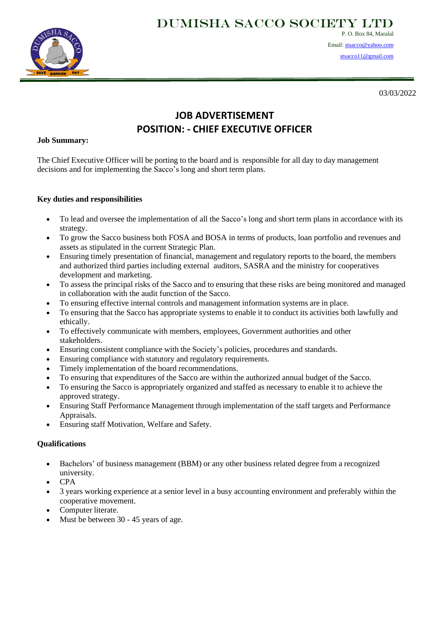Dumisha SACCO SOCIETY Ltd



P. O. Box 84, Maralal Email[: stsacco@yahoo.com](mailto:stsacco@yahoo.com)

[stsacco11@gmail.com](mailto:stsacco11@gmail.com)

03/03/2022

# **JOB ADVERTISEMENT POSITION: - CHIEF EXECUTIVE OFFICER**

#### **Job Summary:**

The Chief Executive Officer will be porting to the board and is responsible for all day to day management decisions and for implementing the Sacco's long and short term plans.

#### **Key duties and responsibilities**

- To lead and oversee the implementation of all the Sacco's long and short term plans in accordance with its strategy.
- To grow the Sacco business both FOSA and BOSA in terms of products, loan portfolio and revenues and assets as stipulated in the current Strategic Plan.
- Ensuring timely presentation of financial, management and regulatory reports to the board, the members and authorized third parties including external auditors, SASRA and the ministry for cooperatives development and marketing.
- To assess the principal risks of the Sacco and to ensuring that these risks are being monitored and managed in collaboration with the audit function of the Sacco.
- To ensuring effective internal controls and management information systems are in place.
- To ensuring that the Sacco has appropriate systems to enable it to conduct its activities both lawfully and ethically.
- To effectively communicate with members, employees, Government authorities and other stakeholders.
- Ensuring consistent compliance with the Society's policies, procedures and standards.
- Ensuring compliance with statutory and regulatory requirements.
- Timely implementation of the board recommendations.
- To ensuring that expenditures of the Sacco are within the authorized annual budget of the Sacco.
- To ensuring the Sacco is appropriately organized and staffed as necessary to enable it to achieve the approved strategy.
- Ensuring Staff Performance Management through implementation of the staff targets and Performance Appraisals.
- Ensuring staff Motivation, Welfare and Safety.

## **Qualifications**

- Bachelors' of business management (BBM) or any other business related degree from a recognized university.
- CPA
- 3 years working experience at a senior level in a busy accounting environment and preferably within the cooperative movement.
- Computer literate.
- Must be between 30 45 years of age.